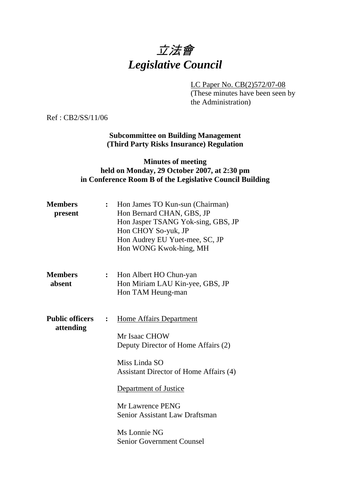# 立法會 *Legislative Council*

LC Paper No. CB(2)572/07-08

(These minutes have been seen by the Administration)

Ref : CB2/SS/11/06

## **Subcommittee on Building Management (Third Party Risks Insurance) Regulation**

## **Minutes of meeting held on Monday, 29 October 2007, at 2:30 pm in Conference Room B of the Legislative Council Building**

| <b>Members</b><br>present                             | $\ddot{\cdot}$ | Hon James TO Kun-sun (Chairman)<br>Hon Bernard CHAN, GBS, JP<br>Hon Jasper TSANG Yok-sing, GBS, JP<br>Hon CHOY So-yuk, JP<br>Hon Audrey EU Yuet-mee, SC, JP<br>Hon WONG Kwok-hing, MH                                                                                                              |  |
|-------------------------------------------------------|----------------|----------------------------------------------------------------------------------------------------------------------------------------------------------------------------------------------------------------------------------------------------------------------------------------------------|--|
| <b>Members</b><br>absent                              | $\ddot{\cdot}$ | Hon Albert HO Chun-yan<br>Hon Miriam LAU Kin-yee, GBS, JP<br>Hon TAM Heung-man                                                                                                                                                                                                                     |  |
| <b>Public officers</b><br>$\ddot{\cdot}$<br>attending |                | <b>Home Affairs Department</b><br>Mr Isaac CHOW<br>Deputy Director of Home Affairs (2)<br>Miss Linda SO<br>Assistant Director of Home Affairs (4)<br><b>Department of Justice</b><br>Mr Lawrence PENG<br><b>Senior Assistant Law Draftsman</b><br>Ms Lonnie NG<br><b>Senior Government Counsel</b> |  |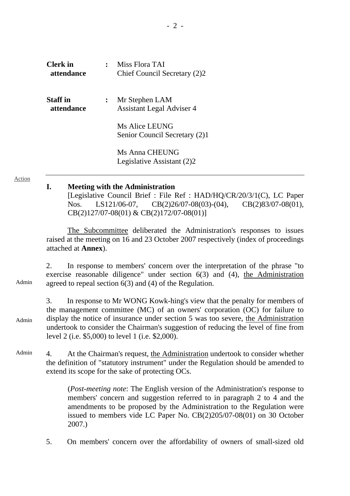| <b>Clerk</b> in<br>attendance | Miss Flora TAI<br>Chief Council Secretary (2)2     |
|-------------------------------|----------------------------------------------------|
| Staff in<br>attendance        | Mr Stephen LAM<br><b>Assistant Legal Adviser 4</b> |
|                               | Ms Alice LEUNG<br>Senior Council Secretary (2)1    |
|                               | Ms Anna CHEUNG<br>Legislative Assistant (2)2       |

Action

#### **I. Meeting with the Administration**

[Legislative Council Brief : File Ref : HAD/HQ/CR/20/3/1(C), LC Paper Nos. LS121/06-07, CB(2)26/07-08(03)-(04), CB(2)83/07-08(01), CB(2)127/07-08(01) & CB(2)172/07-08(01)]

1. The Subcommittee deliberated the Administration's responses to issues raised at the meeting on 16 and 23 October 2007 respectively (index of proceedings attached at **Annex**).

Admin 2. In response to members' concern over the interpretation of the phrase "to exercise reasonable diligence" under section 6(3) and (4), the Administration agreed to repeal section 6(3) and (4) of the Regulation.

Admin 3. In response to Mr WONG Kowk-hing's view that the penalty for members of the management committee (MC) of an owners' corporation (OC) for failure to display the notice of insurance under section 5 was too severe, the Administration undertook to consider the Chairman's suggestion of reducing the level of fine from level 2 (i.e. \$5,000) to level 1 (i.e. \$2,000).

Admin 4. At the Chairman's request, the Administration undertook to consider whether the definition of "statutory instrument" under the Regulation should be amended to extend its scope for the sake of protecting OCs.

> (*Post-meeting note*: The English version of the Administration's response to members' concern and suggestion referred to in paragraph 2 to 4 and the amendments to be proposed by the Administration to the Regulation were issued to members vide LC Paper No. CB(2)205/07-08(01) on 30 October 2007.)

5. On members' concern over the affordability of owners of small-sized old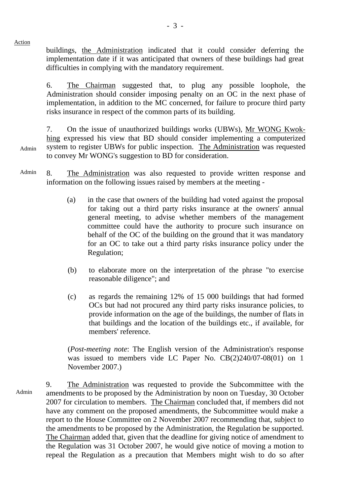Action

buildings, the Administration indicated that it could consider deferring the implementation date if it was anticipated that owners of these buildings had great difficulties in complying with the mandatory requirement.

6. The Chairman suggested that, to plug any possible loophole, the Administration should consider imposing penalty on an OC in the next phase of implementation, in addition to the MC concerned, for failure to procure third party risks insurance in respect of the common parts of its building.

Admin 7. On the issue of unauthorized buildings works (UBWs), Mr WONG Kwokhing expressed his view that BD should consider implementing a computerized system to register UBWs for public inspection. The Administration was requested to convey Mr WONG's suggestion to BD for consideration.

Admin 8. The Administration was also requested to provide written response and information on the following issues raised by members at the meeting -

- (a) in the case that owners of the building had voted against the proposal for taking out a third party risks insurance at the owners' annual general meeting, to advise whether members of the management committee could have the authority to procure such insurance on behalf of the OC of the building on the ground that it was mandatory for an OC to take out a third party risks insurance policy under the Regulation;
- (b) to elaborate more on the interpretation of the phrase "to exercise reasonable diligence"; and
- (c) as regards the remaining 12% of 15 000 buildings that had formed OCs but had not procured any third party risks insurance policies, to provide information on the age of the buildings, the number of flats in that buildings and the location of the buildings etc., if available, for members' reference.

(*Post-meeting note*: The English version of the Administration's response was issued to members vide LC Paper No. CB(2)240/07-08(01) on 1 November 2007.)

Admin 9. The Administration was requested to provide the Subcommittee with the amendments to be proposed by the Administration by noon on Tuesday, 30 October 2007 for circulation to members. The Chairman concluded that, if members did not have any comment on the proposed amendments, the Subcommittee would make a report to the House Committee on 2 November 2007 recommending that, subject to the amendments to be proposed by the Administration, the Regulation be supported. The Chairman added that, given that the deadline for giving notice of amendment to the Regulation was 31 October 2007, he would give notice of moving a motion to repeal the Regulation as a precaution that Members might wish to do so after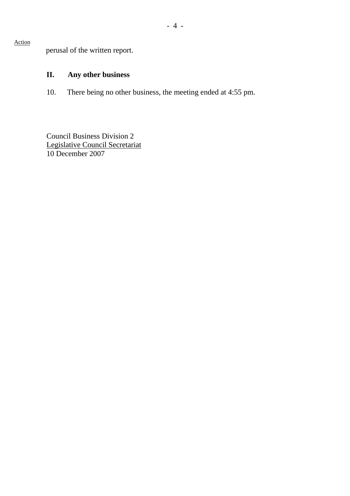perusal of the written report.

Action

# **II. Any other business**

10. There being no other business, the meeting ended at 4:55 pm.

Council Business Division 2 Legislative Council Secretariat 10 December 2007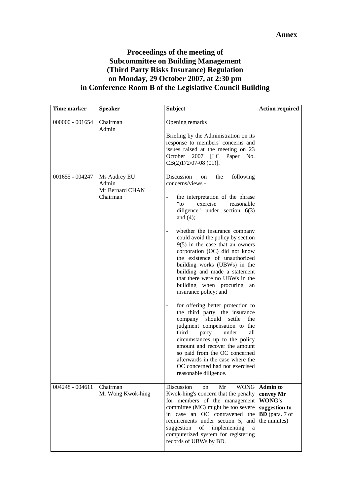# **Proceedings of the meeting of Subcommittee on Building Management (Third Party Risks Insurance) Regulation on Monday, 29 October 2007, at 2:30 pm in Conference Room B of the Legislative Council Building**

| <b>Time marker</b> | <b>Speaker</b>                                       | <b>Subject</b>                                                                                                                                                                                                                                                                                                                                                                                                                                                                                                                                                                                                                                                                                                                                                                                                                                                                                                            | <b>Action required</b>                                                                                |
|--------------------|------------------------------------------------------|---------------------------------------------------------------------------------------------------------------------------------------------------------------------------------------------------------------------------------------------------------------------------------------------------------------------------------------------------------------------------------------------------------------------------------------------------------------------------------------------------------------------------------------------------------------------------------------------------------------------------------------------------------------------------------------------------------------------------------------------------------------------------------------------------------------------------------------------------------------------------------------------------------------------------|-------------------------------------------------------------------------------------------------------|
| $000000 - 001654$  | Chairman<br>Admin                                    | Opening remarks<br>Briefing by the Administration on its<br>response to members' concerns and<br>issues raised at the meeting on 23<br>2007 [LC<br>October<br>Paper No.<br>$CB(2)172/07-08(01)$ ].                                                                                                                                                                                                                                                                                                                                                                                                                                                                                                                                                                                                                                                                                                                        |                                                                                                       |
| $001655 - 004247$  | Ms Audrey EU<br>Admin<br>Mr Bernard CHAN<br>Chairman | Discussion<br>the<br>following<br><sub>on</sub><br>concerns/views -<br>the interpretation of the phrase<br>$"$ to<br>exercise<br>reasonable<br>diligence" under section $6(3)$<br>and $(4)$ ;<br>whether the insurance company<br>could avoid the policy by section<br>$9(5)$ in the case that an owners<br>corporation (OC) did not know<br>the existence of unauthorized<br>building works (UBWs) in the<br>building and made a statement<br>that there were no UBWs in the<br>building when procuring<br>an<br>insurance policy; and<br>for offering better protection to<br>the third party, the insurance<br>should<br>company<br>settle<br>the<br>judgment compensation to the<br>third<br>under<br>all<br>party<br>circumstances up to the policy<br>amount and recover the amount<br>so paid from the OC concerned<br>afterwards in the case where the<br>OC concerned had not exercised<br>reasonable diligence. |                                                                                                       |
| $004248 - 004611$  | Chairman<br>Mr Wong Kwok-hing                        | Discussion<br>Mr<br>on<br>Kwok-hing's concern that the penalty<br>for members of the management<br>committee (MC) might be too severe<br>in case an OC contravened the<br>requirements under section 5, and<br>suggestion<br>of<br>implementing<br>a<br>computerized system for registering<br>records of UBWs by BD.                                                                                                                                                                                                                                                                                                                                                                                                                                                                                                                                                                                                     | WONG Admin to<br>convey Mr<br><b>WONG's</b><br>suggestion to<br><b>BD</b> (para. 7 of<br>the minutes) |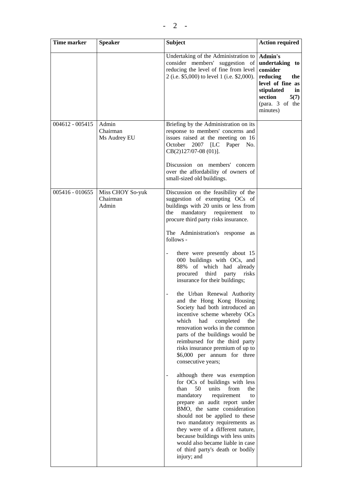| Time marker       | <b>Speaker</b>                        | <b>Subject</b>                                                                                                                                                                                                                                                                                                                                                                                                                                                                                                                                                                                                                                                                                                                                                                                                                                                                                                                                                                                                                                                                                                                                                                                                                                          | <b>Action required</b>                                                                                                                                    |
|-------------------|---------------------------------------|---------------------------------------------------------------------------------------------------------------------------------------------------------------------------------------------------------------------------------------------------------------------------------------------------------------------------------------------------------------------------------------------------------------------------------------------------------------------------------------------------------------------------------------------------------------------------------------------------------------------------------------------------------------------------------------------------------------------------------------------------------------------------------------------------------------------------------------------------------------------------------------------------------------------------------------------------------------------------------------------------------------------------------------------------------------------------------------------------------------------------------------------------------------------------------------------------------------------------------------------------------|-----------------------------------------------------------------------------------------------------------------------------------------------------------|
|                   |                                       | Undertaking of the Administration to<br>consider members' suggestion of<br>reducing the level of fine from level<br>2 (i.e. \$5,000) to level 1 (i.e. \$2,000).                                                                                                                                                                                                                                                                                                                                                                                                                                                                                                                                                                                                                                                                                                                                                                                                                                                                                                                                                                                                                                                                                         | <b>Admin's</b><br>undertaking to<br>consider<br>reducing<br>the<br>level of fine as<br>stipulated<br>in<br>section<br>5(7)<br>(para. 3 of the<br>minutes) |
| $004612 - 005415$ | Admin<br>Chairman<br>Ms Audrey EU     | Briefing by the Administration on its<br>response to members' concerns and<br>issues raised at the meeting on 16<br>October 2007 [LC Paper No.<br>$CB(2)127/07-08(01)$ ].<br>Discussion on members' concern<br>over the affordability of owners of<br>small-sized old buildings.                                                                                                                                                                                                                                                                                                                                                                                                                                                                                                                                                                                                                                                                                                                                                                                                                                                                                                                                                                        |                                                                                                                                                           |
| 005416 - 010655   | Miss CHOY So-yuk<br>Chairman<br>Admin | Discussion on the feasibility of the<br>suggestion of exempting OCs of<br>buildings with 20 units or less from<br>mandatory requirement<br>the<br>to<br>procure third party risks insurance.<br>The Administration's response as<br>follows -<br>there were presently about 15<br>000 buildings with OCs, and<br>88% of which had already<br>procured third party<br>risks<br>insurance for their buildings;<br>the Urban Renewal Authority<br>and the Hong Kong Housing<br>Society had both introduced an<br>incentive scheme whereby OCs<br>which<br>had<br>completed<br>the<br>renovation works in the common<br>parts of the buildings would be<br>reimbursed for the third party<br>risks insurance premium of up to<br>\$6,000 per annum for three<br>consecutive years;<br>although there was exemption<br>$\overline{\phantom{0}}$<br>for OCs of buildings with less<br>50<br>than<br>units<br>from<br>the<br>mandatory<br>requirement<br>to<br>prepare an audit report under<br>BMO, the same consideration<br>should not be applied to these<br>two mandatory requirements as<br>they were of a different nature,<br>because buildings with less units<br>would also became liable in case<br>of third party's death or bodily<br>injury; and |                                                                                                                                                           |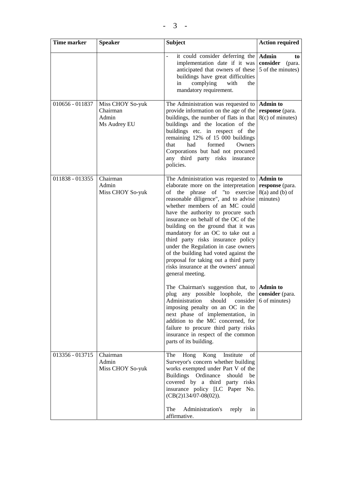| Time marker     | <b>Speaker</b>                                        | <b>Subject</b>                                                                                                                                                                                                                                                                                                                                                                                                                                                                                                                                                              | <b>Action required</b>                                              |
|-----------------|-------------------------------------------------------|-----------------------------------------------------------------------------------------------------------------------------------------------------------------------------------------------------------------------------------------------------------------------------------------------------------------------------------------------------------------------------------------------------------------------------------------------------------------------------------------------------------------------------------------------------------------------------|---------------------------------------------------------------------|
|                 |                                                       | it could consider deferring the<br>implementation date if it was<br>anticipated that owners of these<br>buildings have great difficulties<br>complying<br>with<br>in<br>the<br>mandatory requirement.                                                                                                                                                                                                                                                                                                                                                                       | <b>Admin</b><br>to<br>consider (para.<br>5 of the minutes)          |
| 010656 - 011837 | Miss CHOY So-yuk<br>Chairman<br>Admin<br>Ms Audrey EU | The Administration was requested to<br>provide information on the age of the<br>buildings, the number of flats in that<br>buildings and the location of the<br>buildings etc. in respect of the<br>remaining 12% of 15 000 buildings<br>formed<br>that<br>had<br>Owners<br>Corporations but had not procured<br>third party risks insurance<br>any<br>policies.                                                                                                                                                                                                             | <b>Admin to</b><br>response (para.<br>8(c) of minutes)              |
| 011838 - 013355 | Chairman<br>Admin<br>Miss CHOY So-yuk                 | The Administration was requested to<br>elaborate more on the interpretation<br>of the phrase of "to exercise<br>reasonable diligence", and to advise<br>whether members of an MC could<br>have the authority to procure such<br>insurance on behalf of the OC of the<br>building on the ground that it was<br>mandatory for an OC to take out a<br>third party risks insurance policy<br>under the Regulation in case owners<br>of the building had voted against the<br>proposal for taking out a third party<br>risks insurance at the owners' annual<br>general meeting. | <b>Admin to</b><br>response (para.<br>$8(a)$ and (b) of<br>minutes) |
|                 |                                                       | The Chairman's suggestion that, to $\Delta$ Admin to<br>plug any possible loophole, the <b>consider</b> (para.<br>Administration should consider 6 of minutes)<br>imposing penalty on an OC in the<br>next phase of implementation, in<br>addition to the MC concerned, for<br>failure to procure third party risks<br>insurance in respect of the common<br>parts of its building.                                                                                                                                                                                         |                                                                     |
| 013356 - 013715 | Chairman<br>Admin<br>Miss CHOY So-yuk                 | Hong Kong Institute<br>The<br>οf<br>Surveyor's concern whether building<br>works exempted under Part V of the<br>Buildings Ordinance<br>should<br>be<br>covered by a third party risks<br>insurance policy [LC Paper No.<br>$(CB(2)134/07-08(02)).$<br>Administration's<br>The<br>reply<br>in<br>affirmative.                                                                                                                                                                                                                                                               |                                                                     |